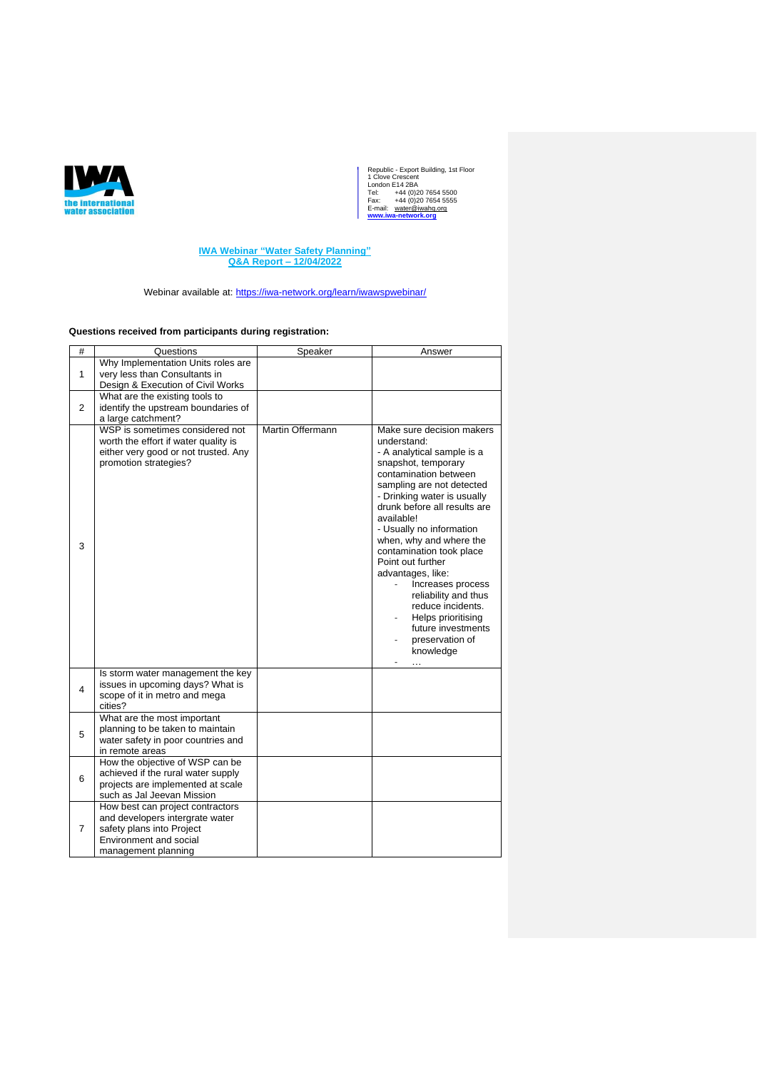

**IWA Webinar "Water Safety Planning" Q&A Report – 12/04/2022**

Webinar available at:<https://iwa-network.org/learn/iwawspwebinar/>

## **Questions received from participants during registration:**

| #              | Questions                                                                                                                                | Speaker          | Answer                                                                                                                                                                                                                                                                                                                                                                                                                                                                                                      |
|----------------|------------------------------------------------------------------------------------------------------------------------------------------|------------------|-------------------------------------------------------------------------------------------------------------------------------------------------------------------------------------------------------------------------------------------------------------------------------------------------------------------------------------------------------------------------------------------------------------------------------------------------------------------------------------------------------------|
|                | Why Implementation Units roles are                                                                                                       |                  |                                                                                                                                                                                                                                                                                                                                                                                                                                                                                                             |
| $\mathbf{1}$   | very less than Consultants in                                                                                                            |                  |                                                                                                                                                                                                                                                                                                                                                                                                                                                                                                             |
|                | Design & Execution of Civil Works                                                                                                        |                  |                                                                                                                                                                                                                                                                                                                                                                                                                                                                                                             |
|                | What are the existing tools to                                                                                                           |                  |                                                                                                                                                                                                                                                                                                                                                                                                                                                                                                             |
| $\overline{2}$ | identify the upstream boundaries of                                                                                                      |                  |                                                                                                                                                                                                                                                                                                                                                                                                                                                                                                             |
|                | a large catchment?                                                                                                                       |                  |                                                                                                                                                                                                                                                                                                                                                                                                                                                                                                             |
| 3              | WSP is sometimes considered not<br>worth the effort if water quality is<br>either very good or not trusted. Any<br>promotion strategies? | Martin Offermann | Make sure decision makers<br>understand:<br>- A analytical sample is a<br>snapshot, temporary<br>contamination between<br>sampling are not detected<br>- Drinking water is usually<br>drunk before all results are<br>available!<br>- Usually no information<br>when, why and where the<br>contamination took place<br>Point out further<br>advantages, like:<br>Increases process<br>reliability and thus<br>reduce incidents.<br>Helps prioritising<br>future investments<br>preservation of<br>knowledge |
| 4              | Is storm water management the key<br>issues in upcoming days? What is<br>scope of it in metro and mega<br>cities?                        |                  |                                                                                                                                                                                                                                                                                                                                                                                                                                                                                                             |
| 5              | What are the most important<br>planning to be taken to maintain<br>water safety in poor countries and                                    |                  |                                                                                                                                                                                                                                                                                                                                                                                                                                                                                                             |
|                | in remote areas                                                                                                                          |                  |                                                                                                                                                                                                                                                                                                                                                                                                                                                                                                             |
| 6              | How the objective of WSP can be                                                                                                          |                  |                                                                                                                                                                                                                                                                                                                                                                                                                                                                                                             |
|                | achieved if the rural water supply                                                                                                       |                  |                                                                                                                                                                                                                                                                                                                                                                                                                                                                                                             |
|                | projects are implemented at scale                                                                                                        |                  |                                                                                                                                                                                                                                                                                                                                                                                                                                                                                                             |
|                | such as Jal Jeevan Mission                                                                                                               |                  |                                                                                                                                                                                                                                                                                                                                                                                                                                                                                                             |
|                | How best can project contractors                                                                                                         |                  |                                                                                                                                                                                                                                                                                                                                                                                                                                                                                                             |
| 7              | and developers intergrate water                                                                                                          |                  |                                                                                                                                                                                                                                                                                                                                                                                                                                                                                                             |
|                | safety plans into Project                                                                                                                |                  |                                                                                                                                                                                                                                                                                                                                                                                                                                                                                                             |
|                | Environment and social                                                                                                                   |                  |                                                                                                                                                                                                                                                                                                                                                                                                                                                                                                             |
|                | management planning                                                                                                                      |                  |                                                                                                                                                                                                                                                                                                                                                                                                                                                                                                             |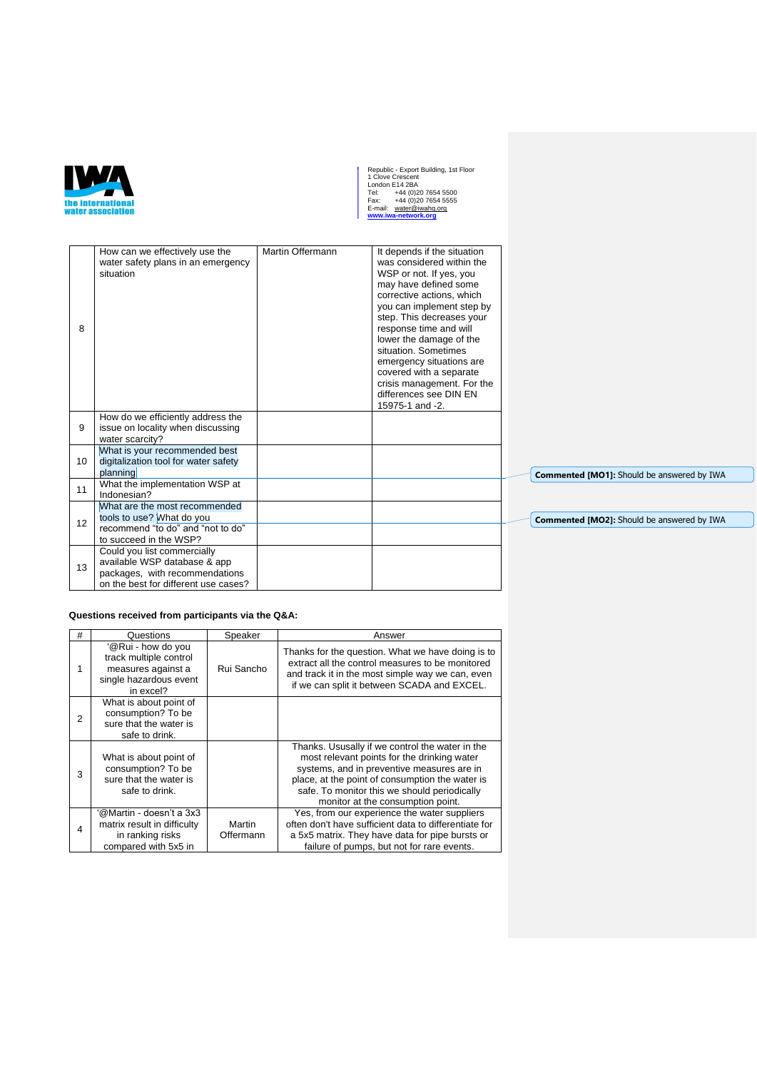

| 8  | How can we effectively use the<br>water safety plans in an emergency<br>situation                                                     | Martin Offermann | It depends if the situation<br>was considered within the<br>WSP or not. If yes, you<br>may have defined some<br>corrective actions, which<br>you can implement step by<br>step. This decreases your<br>response time and will<br>lower the damage of the<br>situation. Sometimes<br>emergency situations are<br>covered with a separate<br>crisis management. For the<br>differences see DIN EN<br>15975-1 and -2. |                           |
|----|---------------------------------------------------------------------------------------------------------------------------------------|------------------|--------------------------------------------------------------------------------------------------------------------------------------------------------------------------------------------------------------------------------------------------------------------------------------------------------------------------------------------------------------------------------------------------------------------|---------------------------|
| 9  | How do we efficiently address the<br>issue on locality when discussing<br>water scarcity?                                             |                  |                                                                                                                                                                                                                                                                                                                                                                                                                    |                           |
| 10 | What is your recommended best<br>digitalization tool for water safety<br>planning                                                     |                  |                                                                                                                                                                                                                                                                                                                                                                                                                    | <b>Commented [MO1]: S</b> |
| 11 | What the implementation WSP at<br>Indonesian?                                                                                         |                  |                                                                                                                                                                                                                                                                                                                                                                                                                    |                           |
| 12 | What are the most recommended<br>tools to use? What do you<br>recommend "to do" and "not to do"<br>to succeed in the WSP?             |                  |                                                                                                                                                                                                                                                                                                                                                                                                                    | <b>Commented [MO2]: S</b> |
| 13 | Could you list commercially<br>available WSP database & app<br>packages, with recommendations<br>on the best for different use cases? |                  |                                                                                                                                                                                                                                                                                                                                                                                                                    |                           |

**Questions received from participants via the Q&A:**

| # | Questions                                                                                                 | Speaker             | Answer                                                                                                                                                                                                                                                                               |
|---|-----------------------------------------------------------------------------------------------------------|---------------------|--------------------------------------------------------------------------------------------------------------------------------------------------------------------------------------------------------------------------------------------------------------------------------------|
|   | '@Rui - how do you<br>track multiple control<br>measures against a<br>single hazardous event<br>in excel? | Rui Sancho          | Thanks for the question. What we have doing is to<br>extract all the control measures to be monitored<br>and track it in the most simple way we can, even<br>if we can split it between SCADA and EXCEL.                                                                             |
| 2 | What is about point of<br>consumption? To be<br>sure that the water is<br>safe to drink.                  |                     |                                                                                                                                                                                                                                                                                      |
| 3 | What is about point of<br>consumption? To be<br>sure that the water is<br>safe to drink.                  |                     | Thanks. Ususally if we control the water in the<br>most relevant points for the drinking water<br>systems, and in preventive measures are in<br>place, at the point of consumption the water is<br>safe. To monitor this we should periodically<br>monitor at the consumption point. |
| 4 | '@Martin - doesn't a 3x3<br>matrix result in difficulty<br>in ranking risks<br>compared with 5x5 in       | Martin<br>Offermann | Yes, from our experience the water suppliers<br>often don't have sufficient data to differentiate for<br>a 5x5 matrix. They have data for pipe bursts or<br>failure of pumps, but not for rare events.                                                                               |

Should be answered by IWA

Should be answered by IWA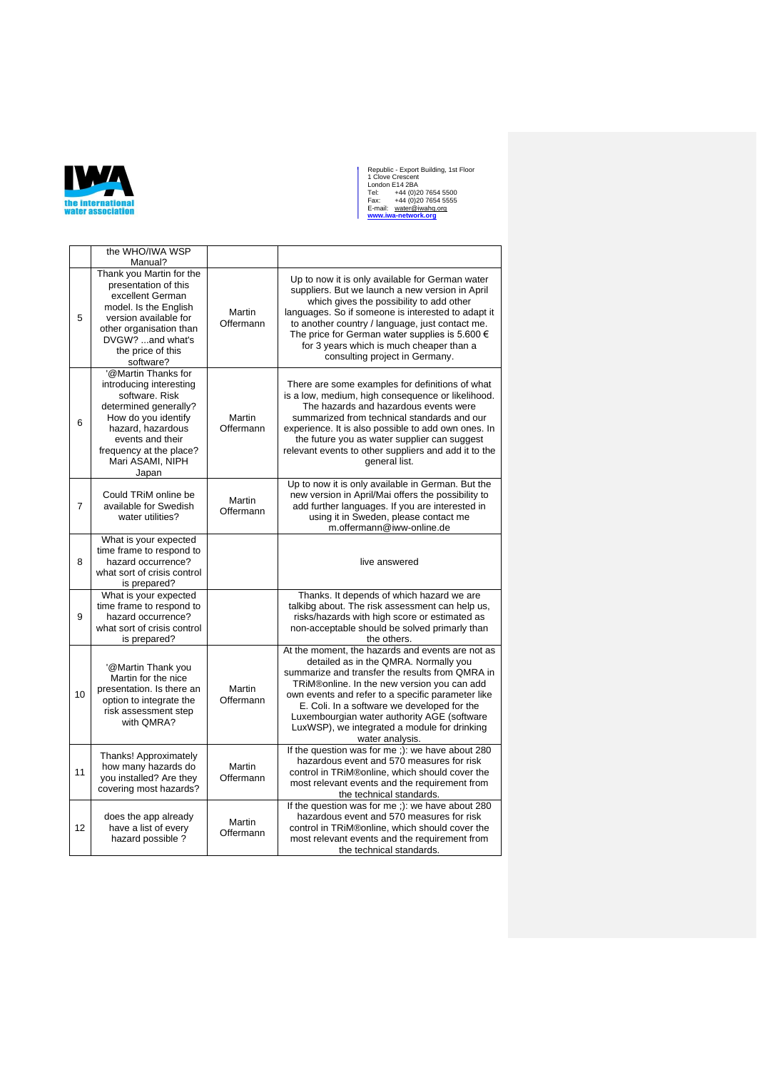

|                | the WHO/IWA WSP<br>Manual?                                                                                                                                                                                        |                            |                                                                                                                                                                                                                                                                                                                                                                                                                   |
|----------------|-------------------------------------------------------------------------------------------------------------------------------------------------------------------------------------------------------------------|----------------------------|-------------------------------------------------------------------------------------------------------------------------------------------------------------------------------------------------------------------------------------------------------------------------------------------------------------------------------------------------------------------------------------------------------------------|
| 5              | Thank you Martin for the<br>presentation of this<br>excellent German<br>model. Is the English<br>version available for<br>other organisation than<br>DVGW? and what's<br>the price of this<br>software?           | Martin<br>Offermann        | Up to now it is only available for German water<br>suppliers. But we launch a new version in April<br>which gives the possibility to add other<br>languages. So if someone is interested to adapt it<br>to another country / language, just contact me.<br>The price for German water supplies is 5.600 €<br>for 3 years which is much cheaper than a<br>consulting project in Germany.                           |
| 6              | '@Martin Thanks for<br>introducing interesting<br>software, Risk<br>determined generally?<br>How do you identify<br>hazard, hazardous<br>events and their<br>frequency at the place?<br>Mari ASAMI, NIPH<br>Japan | Martin<br>Offermann        | There are some examples for definitions of what<br>is a low, medium, high consequence or likelihood.<br>The hazards and hazardous events were<br>summarized from technical standards and our<br>experience. It is also possible to add own ones. In<br>the future you as water supplier can suggest<br>relevant events to other suppliers and add it to the<br>general list.                                      |
| $\overline{7}$ | Could TRIM online be<br>available for Swedish<br>water utilities?                                                                                                                                                 | Martin<br>Offermann        | Up to now it is only available in German. But the<br>new version in April/Mai offers the possibility to<br>add further languages. If you are interested in<br>using it in Sweden, please contact me<br>m.offermann@iww-online.de                                                                                                                                                                                  |
| 8              | What is your expected<br>time frame to respond to<br>hazard occurrence?<br>what sort of crisis control<br>is prepared?                                                                                            |                            | live answered                                                                                                                                                                                                                                                                                                                                                                                                     |
| 9              | What is your expected<br>time frame to respond to<br>hazard occurrence?<br>what sort of crisis control<br>is prepared?                                                                                            |                            | Thanks. It depends of which hazard we are<br>talkibg about. The risk assessment can help us,<br>risks/hazards with high score or estimated as<br>non-acceptable should be solved primarly than<br>the others.                                                                                                                                                                                                     |
| 10             | '@Martin Thank you<br>Martin for the nice<br>presentation. Is there an<br>option to integrate the<br>risk assessment step<br>with QMRA?                                                                           | <b>Martin</b><br>Offermann | At the moment, the hazards and events are not as<br>detailed as in the QMRA. Normally you<br>summarize and transfer the results from QMRA in<br>TRIM®online. In the new version you can add<br>own events and refer to a specific parameter like<br>E. Coli. In a software we developed for the<br>Luxembourgian water authority AGE (software<br>LuxWSP), we integrated a module for drinking<br>water analysis. |
| 11             | Thanks! Approximately<br>how many hazards do<br>you installed? Are they<br>covering most hazards?                                                                                                                 | Martin<br>Offermann        | If the question was for me ;): we have about 280<br>hazardous event and 570 measures for risk<br>control in TRiM®online, which should cover the<br>most relevant events and the requirement from<br>the technical standards.                                                                                                                                                                                      |
| 12             | does the app already<br>have a list of every<br>hazard possible ?                                                                                                                                                 | Martin<br>Offermann        | If the question was for me ;): we have about 280<br>hazardous event and 570 measures for risk<br>control in TRiM®online, which should cover the<br>most relevant events and the requirement from<br>the technical standards.                                                                                                                                                                                      |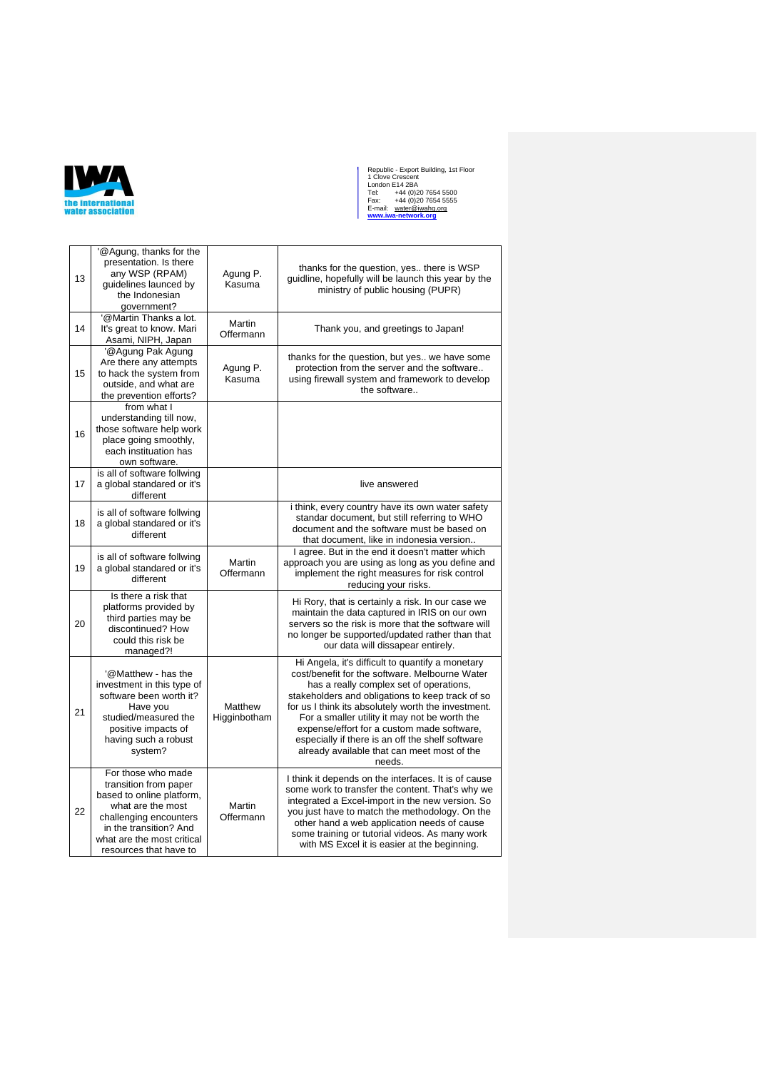

| 13 | '@Agung, thanks for the<br>presentation. Is there<br>any WSP (RPAM)<br>quidelines launced by<br>the Indonesian<br>government?                                                                             | Agung P.<br>Kasuma         | thanks for the question, yes there is WSP<br>quidline, hopefully will be launch this year by the<br>ministry of public housing (PUPR)                                                                                                                                                                                                                                                                                                                                |
|----|-----------------------------------------------------------------------------------------------------------------------------------------------------------------------------------------------------------|----------------------------|----------------------------------------------------------------------------------------------------------------------------------------------------------------------------------------------------------------------------------------------------------------------------------------------------------------------------------------------------------------------------------------------------------------------------------------------------------------------|
| 14 | @Martin Thanks a lot.<br>It's great to know. Mari<br>Asami, NIPH, Japan                                                                                                                                   | <b>Martin</b><br>Offermann | Thank you, and greetings to Japan!                                                                                                                                                                                                                                                                                                                                                                                                                                   |
| 15 | '@Agung Pak Agung<br>Are there any attempts<br>to hack the system from<br>outside, and what are<br>the prevention efforts?                                                                                | Agung P.<br>Kasuma         | thanks for the question, but yes we have some<br>protection from the server and the software<br>using firewall system and framework to develop<br>the software                                                                                                                                                                                                                                                                                                       |
| 16 | from what I<br>understanding till now,<br>those software help work<br>place going smoothly,<br>each instituation has<br>own software.                                                                     |                            |                                                                                                                                                                                                                                                                                                                                                                                                                                                                      |
| 17 | is all of software follwing<br>a global standared or it's<br>different                                                                                                                                    |                            | live answered                                                                                                                                                                                                                                                                                                                                                                                                                                                        |
| 18 | is all of software follwing<br>a global standared or it's<br>different                                                                                                                                    |                            | i think, every country have its own water safety<br>standar document, but still referring to WHO<br>document and the software must be based on<br>that document, like in indonesia version                                                                                                                                                                                                                                                                           |
| 19 | is all of software follwing<br>a global standared or it's<br>different                                                                                                                                    | Martin<br>Offermann        | I agree. But in the end it doesn't matter which<br>approach you are using as long as you define and<br>implement the right measures for risk control<br>reducing your risks.                                                                                                                                                                                                                                                                                         |
| 20 | Is there a risk that<br>platforms provided by<br>third parties may be<br>discontinued? How<br>could this risk be<br>managed?!                                                                             |                            | Hi Rory, that is certainly a risk. In our case we<br>maintain the data captured in IRIS on our own<br>servers so the risk is more that the software will<br>no longer be supported/updated rather than that<br>our data will dissapear entirely.                                                                                                                                                                                                                     |
| 21 | '@Matthew - has the<br>investment in this type of<br>software been worth it?<br>Have you<br>studied/measured the<br>positive impacts of<br>having such a robust<br>system?                                | Matthew<br>Higginbotham    | Hi Angela, it's difficult to quantify a monetary<br>cost/benefit for the software. Melbourne Water<br>has a really complex set of operations,<br>stakeholders and obligations to keep track of so<br>for us I think its absolutely worth the investment.<br>For a smaller utility it may not be worth the<br>expense/effort for a custom made software,<br>especially if there is an off the shelf software<br>already available that can meet most of the<br>needs. |
| 22 | For those who made<br>transition from paper<br>based to online platform,<br>what are the most<br>challenging encounters<br>in the transition? And<br>what are the most critical<br>resources that have to | Martin<br>Offermann        | I think it depends on the interfaces. It is of cause<br>some work to transfer the content. That's why we<br>integrated a Excel-import in the new version. So<br>you just have to match the methodology. On the<br>other hand a web application needs of cause<br>some training or tutorial videos. As many work<br>with MS Excel it is easier at the beginning.                                                                                                      |